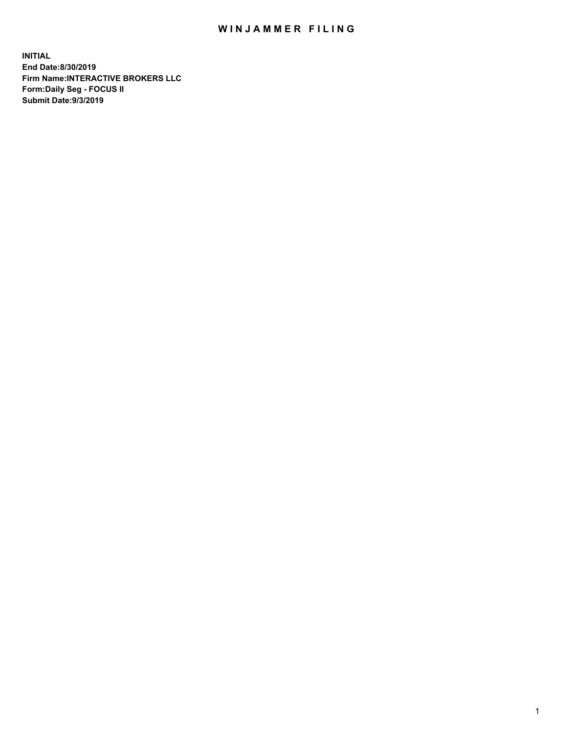## WIN JAMMER FILING

**INITIAL End Date:8/30/2019 Firm Name:INTERACTIVE BROKERS LLC Form:Daily Seg - FOCUS II Submit Date:9/3/2019**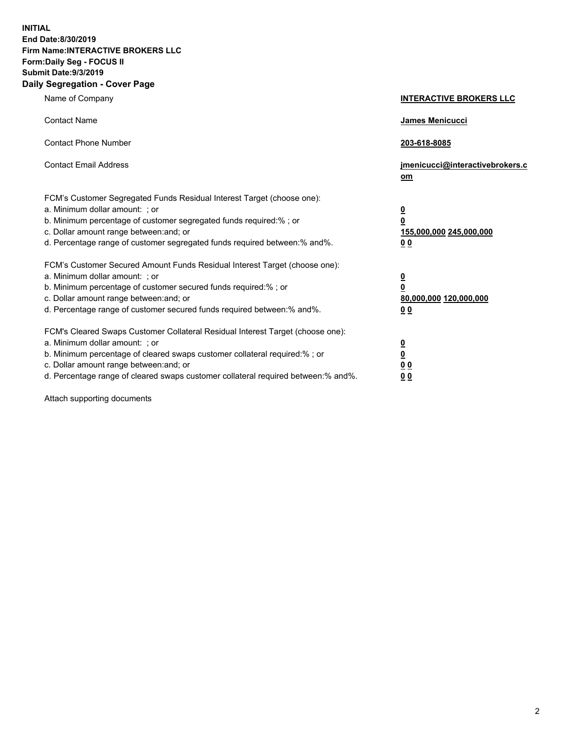**INITIAL End Date:8/30/2019 Firm Name:INTERACTIVE BROKERS LLC Form:Daily Seg - FOCUS II Submit Date:9/3/2019 Daily Segregation - Cover Page**

| Name of Company                                                                                                                                                                                                                                                                                                                | <b>INTERACTIVE BROKERS LLC</b>                                                                  |
|--------------------------------------------------------------------------------------------------------------------------------------------------------------------------------------------------------------------------------------------------------------------------------------------------------------------------------|-------------------------------------------------------------------------------------------------|
| <b>Contact Name</b>                                                                                                                                                                                                                                                                                                            | <b>James Menicucci</b>                                                                          |
| <b>Contact Phone Number</b>                                                                                                                                                                                                                                                                                                    | 203-618-8085                                                                                    |
| <b>Contact Email Address</b>                                                                                                                                                                                                                                                                                                   | jmenicucci@interactivebrokers.c<br>om                                                           |
| FCM's Customer Segregated Funds Residual Interest Target (choose one):<br>a. Minimum dollar amount: ; or<br>b. Minimum percentage of customer segregated funds required:% ; or<br>c. Dollar amount range between: and; or<br>d. Percentage range of customer segregated funds required between:% and%.                         | $\overline{\mathbf{0}}$<br>$\overline{\mathbf{0}}$<br>155,000,000 245,000,000<br>0 <sub>0</sub> |
| FCM's Customer Secured Amount Funds Residual Interest Target (choose one):<br>a. Minimum dollar amount: ; or<br>b. Minimum percentage of customer secured funds required:%; or<br>c. Dollar amount range between: and; or<br>d. Percentage range of customer secured funds required between:% and%.                            | $\frac{0}{0}$<br>80,000,000 120,000,000<br>0 <sub>0</sub>                                       |
| FCM's Cleared Swaps Customer Collateral Residual Interest Target (choose one):<br>a. Minimum dollar amount: ; or<br>b. Minimum percentage of cleared swaps customer collateral required:% ; or<br>c. Dollar amount range between: and; or<br>d. Percentage range of cleared swaps customer collateral required between:% and%. | $\overline{\mathbf{0}}$<br><u>0</u><br>0 <sub>0</sub><br>0 <sub>0</sub>                         |

Attach supporting documents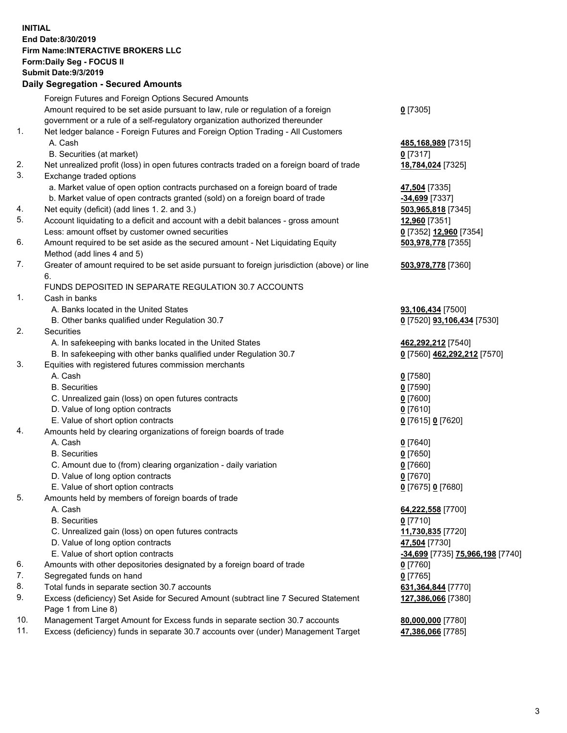## **INITIAL End Date:8/30/2019 Firm Name:INTERACTIVE BROKERS LLC Form:Daily Seg - FOCUS II Submit Date:9/3/2019 Daily Segregation - Secured Amounts**

|     | 2011, Ocgi ogation - Oceaned Anioanita                                                                     |                                                      |
|-----|------------------------------------------------------------------------------------------------------------|------------------------------------------------------|
|     | Foreign Futures and Foreign Options Secured Amounts                                                        |                                                      |
|     | Amount required to be set aside pursuant to law, rule or regulation of a foreign                           | $0$ [7305]                                           |
|     | government or a rule of a self-regulatory organization authorized thereunder                               |                                                      |
| 1.  | Net ledger balance - Foreign Futures and Foreign Option Trading - All Customers                            |                                                      |
|     | A. Cash                                                                                                    | 485, 168, 989 [7315]                                 |
|     | B. Securities (at market)                                                                                  | $0$ [7317]                                           |
| 2.  | Net unrealized profit (loss) in open futures contracts traded on a foreign board of trade                  | 18,784,024 [7325]                                    |
| 3.  | Exchange traded options                                                                                    |                                                      |
|     | a. Market value of open option contracts purchased on a foreign board of trade                             | 47,504 [7335]                                        |
|     | b. Market value of open contracts granted (sold) on a foreign board of trade                               | $-34,699$ [7337]                                     |
| 4.  | Net equity (deficit) (add lines 1.2. and 3.)                                                               | 503,965,818 [7345]                                   |
| 5.  | Account liquidating to a deficit and account with a debit balances - gross amount                          | 12,960 [7351]                                        |
|     | Less: amount offset by customer owned securities                                                           | 0 [7352] 12,960 [7354]                               |
| 6.  | Amount required to be set aside as the secured amount - Net Liquidating Equity                             | 503,978,778 [7355]                                   |
|     | Method (add lines 4 and 5)                                                                                 |                                                      |
| 7.  | Greater of amount required to be set aside pursuant to foreign jurisdiction (above) or line<br>6.          | 503,978,778 [7360]                                   |
|     | FUNDS DEPOSITED IN SEPARATE REGULATION 30.7 ACCOUNTS                                                       |                                                      |
| 1.  | Cash in banks                                                                                              |                                                      |
|     | A. Banks located in the United States                                                                      | 93,106,434 [7500]                                    |
|     | B. Other banks qualified under Regulation 30.7                                                             | 0 [7520] 93,106,434 [7530]                           |
| 2.  | Securities                                                                                                 |                                                      |
|     | A. In safekeeping with banks located in the United States                                                  | 462,292,212 [7540]                                   |
|     | B. In safekeeping with other banks qualified under Regulation 30.7                                         | 0 [7560] 462,292,212 [7570]                          |
| 3.  | Equities with registered futures commission merchants                                                      |                                                      |
|     | A. Cash                                                                                                    | $0$ [7580]                                           |
|     | <b>B.</b> Securities                                                                                       | $0$ [7590]                                           |
|     | C. Unrealized gain (loss) on open futures contracts                                                        | $0$ [7600]                                           |
|     | D. Value of long option contracts                                                                          | $0$ [7610]                                           |
|     | E. Value of short option contracts                                                                         | 0 [7615] 0 [7620]                                    |
| 4.  | Amounts held by clearing organizations of foreign boards of trade                                          |                                                      |
|     | A. Cash                                                                                                    | $0$ [7640]                                           |
|     | <b>B.</b> Securities                                                                                       | $0$ [7650]                                           |
|     | C. Amount due to (from) clearing organization - daily variation                                            | $0$ [7660]                                           |
|     | D. Value of long option contracts                                                                          | $0$ [7670]                                           |
|     | E. Value of short option contracts                                                                         | 0 [7675] 0 [7680]                                    |
| 5.  | Amounts held by members of foreign boards of trade                                                         |                                                      |
|     | A. Cash                                                                                                    | 64,222,558 [7700]                                    |
|     | <b>B.</b> Securities                                                                                       | $0$ [7710]                                           |
|     | C. Unrealized gain (loss) on open futures contracts                                                        | 11,730,835 [7720]                                    |
|     | D. Value of long option contracts                                                                          | 47,504 [7730]                                        |
|     | E. Value of short option contracts                                                                         | <mark>-34,699</mark> [7735] <b>75,966,198</b> [7740] |
| 6.  | Amounts with other depositories designated by a foreign board of trade                                     | <u>0</u> [7760]                                      |
| 7.  | Segregated funds on hand                                                                                   | $0$ [7765]                                           |
| 8.  | Total funds in separate section 30.7 accounts                                                              | 631, 364, 844 [7770]                                 |
| 9.  | Excess (deficiency) Set Aside for Secured Amount (subtract line 7 Secured Statement<br>Page 1 from Line 8) | 127,386,066 [7380]                                   |
| 10. | Management Target Amount for Excess funds in separate section 30.7 accounts                                | 80,000,000 [7780]                                    |
| 11. | Excess (deficiency) funds in separate 30.7 accounts over (under) Management Target                         | 47,386,066 [7785]                                    |
|     |                                                                                                            |                                                      |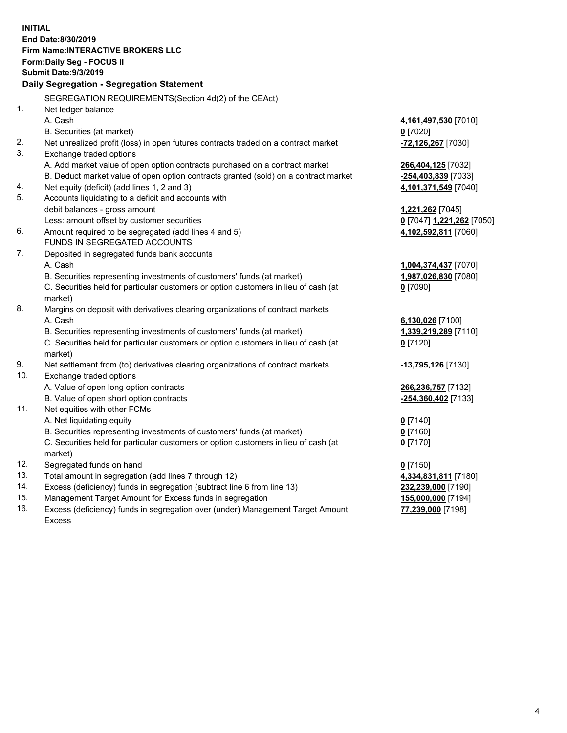**INITIAL End Date:8/30/2019 Firm Name:INTERACTIVE BROKERS LLC Form:Daily Seg - FOCUS II Submit Date:9/3/2019 Daily Segregation - Segregation Statement** SEGREGATION REQUIREMENTS(Section 4d(2) of the CEAct) 1. Net ledger balance A. Cash **4,161,497,530** [7010] B. Securities (at market) **0** [7020] 2. Net unrealized profit (loss) in open futures contracts traded on a contract market **-72,126,267** [7030] 3. Exchange traded options A. Add market value of open option contracts purchased on a contract market **266,404,125** [7032] B. Deduct market value of open option contracts granted (sold) on a contract market **-254,403,839** [7033] 4. Net equity (deficit) (add lines 1, 2 and 3) **4,101,371,549** [7040] 5. Accounts liquidating to a deficit and accounts with debit balances - gross amount **1,221,262** [7045] Less: amount offset by customer securities **0** [7047] **1,221,262** [7050] 6. Amount required to be segregated (add lines 4 and 5) **4,102,592,811** [7060] FUNDS IN SEGREGATED ACCOUNTS 7. Deposited in segregated funds bank accounts A. Cash **1,004,374,437** [7070] B. Securities representing investments of customers' funds (at market) **1,987,026,830** [7080] C. Securities held for particular customers or option customers in lieu of cash (at market) **0** [7090] 8. Margins on deposit with derivatives clearing organizations of contract markets A. Cash **6,130,026** [7100] B. Securities representing investments of customers' funds (at market) **1,339,219,289** [7110] C. Securities held for particular customers or option customers in lieu of cash (at market) **0** [7120] 9. Net settlement from (to) derivatives clearing organizations of contract markets **-13,795,126** [7130] 10. Exchange traded options A. Value of open long option contracts **266,236,757** [7132] B. Value of open short option contracts **-254,360,402** [7133] 11. Net equities with other FCMs A. Net liquidating equity **0** [7140] B. Securities representing investments of customers' funds (at market) **0** [7160] C. Securities held for particular customers or option customers in lieu of cash (at market) **0** [7170] 12. Segregated funds on hand **0** [7150] 13. Total amount in segregation (add lines 7 through 12) **4,334,831,811** [7180] 14. Excess (deficiency) funds in segregation (subtract line 6 from line 13) **232,239,000** [7190] 15. Management Target Amount for Excess funds in segregation **155,000,000** [7194] **77,239,000** [7198]

16. Excess (deficiency) funds in segregation over (under) Management Target Amount Excess